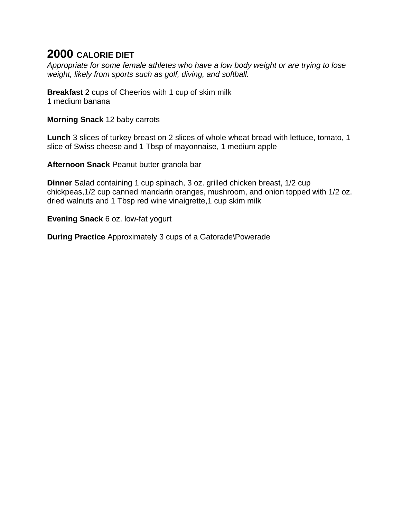*Appropriate for some female athletes who have a low body weight or are trying to lose weight, likely from sports such as golf, diving, and softball.*

**Breakfast** 2 cups of Cheerios with 1 cup of skim milk 1 medium banana

**Morning Snack** 12 baby carrots

**Lunch** 3 slices of turkey breast on 2 slices of whole wheat bread with lettuce, tomato, 1 slice of Swiss cheese and 1 Tbsp of mayonnaise, 1 medium apple

**Afternoon Snack** Peanut butter granola bar

**Dinner** Salad containing 1 cup spinach, 3 oz. grilled chicken breast, 1/2 cup chickpeas,1/2 cup canned mandarin oranges, mushroom, and onion topped with 1/2 oz. dried walnuts and 1 Tbsp red wine vinaigrette,1 cup skim milk

**Evening Snack** 6 oz. low-fat yogurt

**During Practice** Approximately 3 cups of a Gatorade\Powerade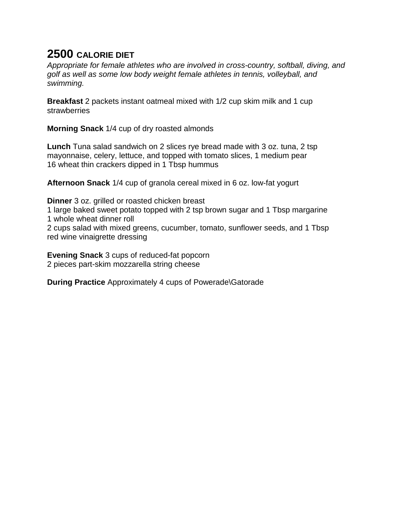*Appropriate for female athletes who are involved in cross-country, softball, diving, and golf as well as some low body weight female athletes in tennis, volleyball, and swimming.*

**Breakfast** 2 packets instant oatmeal mixed with 1/2 cup skim milk and 1 cup strawberries

**Morning Snack** 1/4 cup of dry roasted almonds

**Lunch** Tuna salad sandwich on 2 slices rye bread made with 3 oz. tuna, 2 tsp mayonnaise, celery, lettuce, and topped with tomato slices, 1 medium pear 16 wheat thin crackers dipped in 1 Tbsp hummus

**Afternoon Snack** 1/4 cup of granola cereal mixed in 6 oz. low-fat yogurt

**Dinner** 3 oz. grilled or roasted chicken breast

1 large baked sweet potato topped with 2 tsp brown sugar and 1 Tbsp margarine 1 whole wheat dinner roll

2 cups salad with mixed greens, cucumber, tomato, sunflower seeds, and 1 Tbsp red wine vinaigrette dressing

**Evening Snack** 3 cups of reduced-fat popcorn 2 pieces part-skim mozzarella string cheese

**During Practice** Approximately 4 cups of Powerade\Gatorade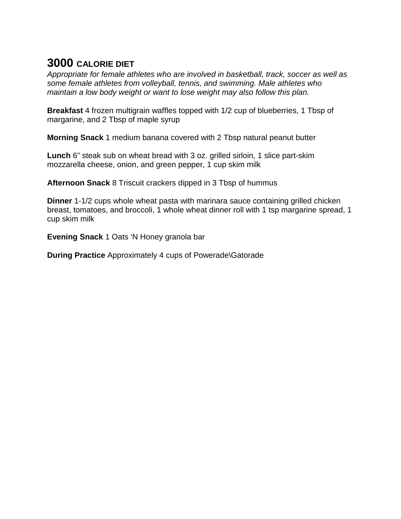*Appropriate for female athletes who are involved in basketball, track, soccer as well as some female athletes from volleyball, tennis, and swimming. Male athletes who maintain a low body weight or want to lose weight may also follow this plan.*

**Breakfast** 4 frozen multigrain waffles topped with 1/2 cup of blueberries, 1 Tbsp of margarine, and 2 Tbsp of maple syrup

**Morning Snack** 1 medium banana covered with 2 Tbsp natural peanut butter

**Lunch** 6" steak sub on wheat bread with 3 oz. grilled sirloin, 1 slice part-skim mozzarella cheese, onion, and green pepper, 1 cup skim milk

**Afternoon Snack** 8 Triscuit crackers dipped in 3 Tbsp of hummus

**Dinner** 1-1/2 cups whole wheat pasta with marinara sauce containing grilled chicken breast, tomatoes, and broccoli, 1 whole wheat dinner roll with 1 tsp margarine spread, 1 cup skim milk

**Evening Snack** 1 Oats 'N Honey granola bar

**During Practice** Approximately 4 cups of Powerade\Gatorade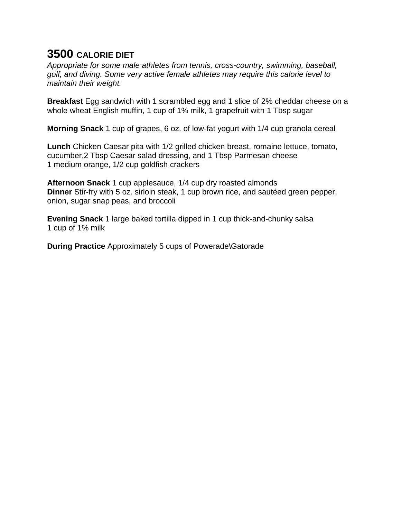*Appropriate for some male athletes from tennis, cross-country, swimming, baseball, golf, and diving. Some very active female athletes may require this calorie level to maintain their weight.*

**Breakfast** Egg sandwich with 1 scrambled egg and 1 slice of 2% cheddar cheese on a whole wheat English muffin, 1 cup of 1% milk, 1 grapefruit with 1 Tbsp sugar

**Morning Snack** 1 cup of grapes, 6 oz. of low-fat yogurt with 1/4 cup granola cereal

**Lunch** Chicken Caesar pita with 1/2 grilled chicken breast, romaine lettuce, tomato, cucumber,2 Tbsp Caesar salad dressing, and 1 Tbsp Parmesan cheese 1 medium orange, 1/2 cup goldfish crackers

**Afternoon Snack** 1 cup applesauce, 1/4 cup dry roasted almonds **Dinner** Stir-fry with 5 oz. sirloin steak, 1 cup brown rice, and sautéed green pepper, onion, sugar snap peas, and broccoli

**Evening Snack** 1 large baked tortilla dipped in 1 cup thick-and-chunky salsa 1 cup of 1% milk

**During Practice** Approximately 5 cups of Powerade\Gatorade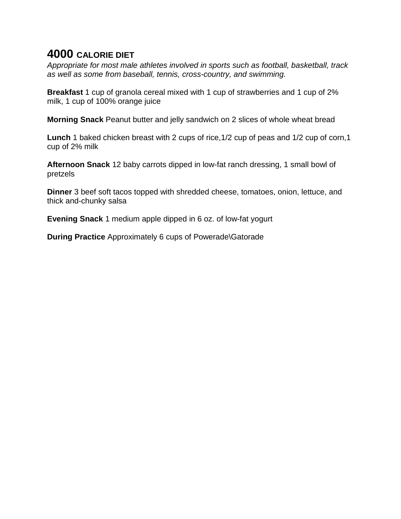*Appropriate for most male athletes involved in sports such as football, basketball, track as well as some from baseball, tennis, cross-country, and swimming.*

**Breakfast** 1 cup of granola cereal mixed with 1 cup of strawberries and 1 cup of 2% milk, 1 cup of 100% orange juice

**Morning Snack** Peanut butter and jelly sandwich on 2 slices of whole wheat bread

**Lunch** 1 baked chicken breast with 2 cups of rice,1/2 cup of peas and 1/2 cup of corn,1 cup of 2% milk

**Afternoon Snack** 12 baby carrots dipped in low-fat ranch dressing, 1 small bowl of pretzels

**Dinner** 3 beef soft tacos topped with shredded cheese, tomatoes, onion, lettuce, and thick and-chunky salsa

**Evening Snack** 1 medium apple dipped in 6 oz. of low-fat yogurt

**During Practice** Approximately 6 cups of Powerade\Gatorade